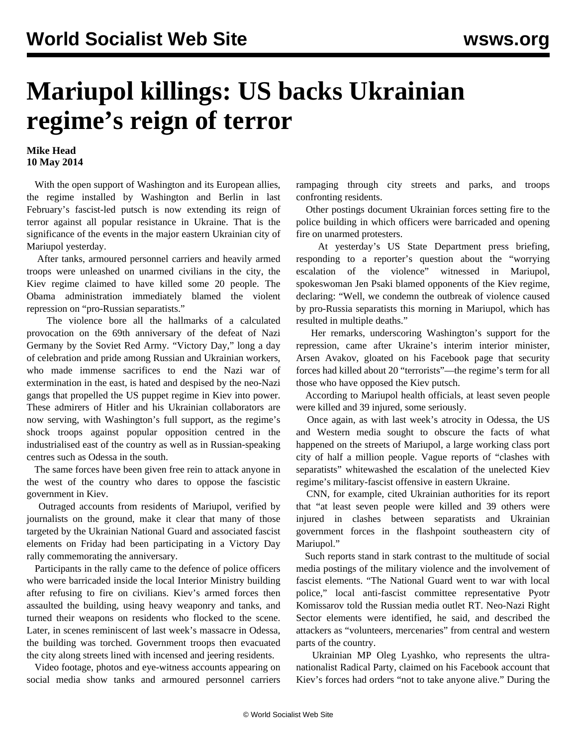## **Mariupol killings: US backs Ukrainian regime's reign of terror**

## **Mike Head 10 May 2014**

 With the open support of Washington and its European allies, the regime installed by Washington and Berlin in last February's fascist-led putsch is now extending its reign of terror against all popular resistance in Ukraine. That is the significance of the events in the major eastern Ukrainian city of Mariupol yesterday.

 After tanks, armoured personnel carriers and heavily armed troops were unleashed on unarmed civilians in the city, the Kiev regime claimed to have killed some 20 people. The Obama administration immediately blamed the violent repression on "pro-Russian separatists."

 The violence bore all the hallmarks of a calculated provocation on the 69th anniversary of the defeat of Nazi Germany by the Soviet Red Army. "Victory Day," long a day of celebration and pride among Russian and Ukrainian workers, who made immense sacrifices to end the Nazi war of extermination in the east, is hated and despised by the neo-Nazi gangs that propelled the US puppet regime in Kiev into power. These admirers of Hitler and his Ukrainian collaborators are now serving, with Washington's full support, as the regime's shock troops against popular opposition centred in the industrialised east of the country as well as in Russian-speaking centres such as Odessa in the south.

 The same forces have been given free rein to attack anyone in the west of the country who dares to oppose the fascistic government in Kiev.

 Outraged accounts from residents of Mariupol, verified by journalists on the ground, make it clear that many of those targeted by the Ukrainian National Guard and associated fascist elements on Friday had been participating in a Victory Day rally commemorating the anniversary.

 Participants in the rally came to the defence of police officers who were barricaded inside the local Interior Ministry building after refusing to fire on civilians. Kiev's armed forces then assaulted the building, using heavy weaponry and tanks, and turned their weapons on residents who flocked to the scene. Later, in scenes reminiscent of last week's massacre in Odessa, the building was torched. Government troops then evacuated the city along streets lined with incensed and jeering residents.

 Video footage, photos and eye-witness accounts appearing on social media show tanks and [armoured personnel carriers](https://www.youtube.com/watch?v=B2Snypj_Igg) rampaging through city streets and parks, and [troops](https://www.youtube.com/watch?v=abkG1wB9qwk) [confronting residents](https://www.youtube.com/watch?v=abkG1wB9qwk).

 Other postings document Ukrainian forces setting fire to the police building in which officers were [barricaded](https://www.youtube.com/watch?v=mEJx-t6ahGg) and opening fire on [unarmed](https://www.youtube.com/watch?v=678n97eBQoI&feature=youtu.be) protesters.

 At yesterday's US State Department press briefing, responding to a reporter's question about the "worrying escalation of the violence" witnessed in Mariupol, spokeswoman Jen Psaki blamed opponents of the Kiev regime, declaring: "Well, we condemn the outbreak of violence caused by pro-Russia separatists this morning in Mariupol, which has resulted in multiple deaths."

 Her remarks, underscoring Washington's support for the repression, came after Ukraine's interim interior minister, Arsen Avakov, gloated on his Facebook page that security forces had killed about 20 "terrorists"—the regime's term for all those who have opposed the Kiev putsch.

 According to Mariupol health officials, at least seven people were killed and 39 injured, some seriously.

 Once again, as with last week's atrocity in Odessa, the US and Western media sought to obscure the facts of what happened on the streets of Mariupol, a large working class port city of half a million people. Vague reports of "clashes with separatists" whitewashed the escalation of the unelected Kiev regime's military-fascist offensive in eastern Ukraine.

 CNN, for example, cited Ukrainian authorities for its report that "at least seven people were killed and 39 others were injured in clashes between separatists and Ukrainian government forces in the flashpoint southeastern city of Mariupol."

 Such reports stand in stark contrast to the multitude of social media postings of the military violence and the involvement of fascist elements. "The National Guard went to war with local police," local anti-fascist committee representative Pyotr Komissarov told the Russian media outlet RT. Neo-Nazi Right Sector elements were identified, he said, and described the attackers as "volunteers, mercenaries" from central and western parts of the country.

 Ukrainian MP Oleg Lyashko, who represents the ultranationalist Radical Party, claimed on his Facebook account that Kiev's forces had orders "not to take anyone alive." During the